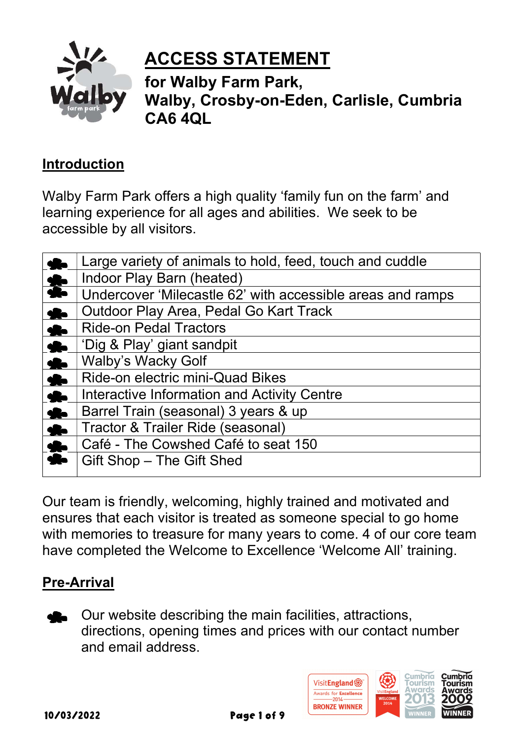

# ACCESS STATEMENT

for Walby Farm Park, Walby, Crosby-on-Eden, Carlisle, Cumbria CA6 4QL

## Introduction

Walby Farm Park offers a high quality 'family fun on the farm' and learning experience for all ages and abilities. We seek to be accessible by all visitors.

|                  | Large variety of animals to hold, feed, touch and cuddle   |
|------------------|------------------------------------------------------------|
| $\frac{1}{2}$    | Indoor Play Barn (heated)                                  |
|                  | Undercover 'Milecastle 62' with accessible areas and ramps |
| $\bullet$        | Outdoor Play Area, Pedal Go Kart Track                     |
| $\frac{1}{2}$    | <b>Ride-on Pedal Tractors</b>                              |
| 8                | 'Dig & Play' giant sandpit                                 |
| $\bullet$        | <b>Walby's Wacky Golf</b>                                  |
| $\frac{1}{2}$    | Ride-on electric mini-Quad Bikes                           |
| 8                | Interactive Information and Activity Centre                |
| $\ddot{\bullet}$ | Barrel Train (seasonal) 3 years & up                       |
|                  | Tractor & Trailer Ride (seasonal)                          |
| $\frac{1}{2}$    | Café - The Cowshed Café to seat 150                        |
|                  | Gift Shop – The Gift Shed                                  |
|                  |                                                            |

Our team is friendly, welcoming, highly trained and motivated and ensures that each visitor is treated as someone special to go home with memories to treasure for many years to come. 4 of our core team have completed the Welcome to Excellence 'Welcome All' training.

# Pre-Arrival

Our website describing the main facilities, attractions, directions, opening times and prices with our contact number and email address.

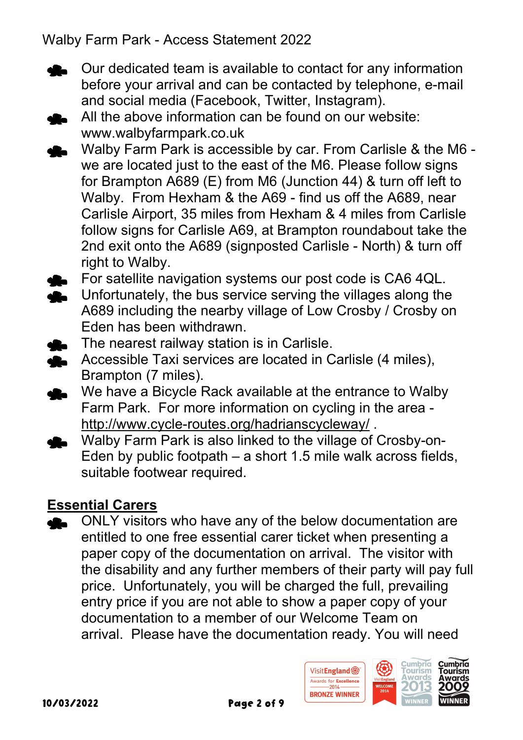- Our dedicated team is available to contact for any information before your arrival and can be contacted by telephone, e-mail and social media (Facebook, Twitter, Instagram).
- All the above information can be found on our website: www.walbyfarmpark.co.uk
- Walby Farm Park is accessible by car. From Carlisle & the M6 we are located just to the east of the M6. Please follow signs for Brampton A689 (E) from M6 (Junction 44) & turn off left to Walby. From Hexham & the A69 - find us off the A689, near Carlisle Airport, 35 miles from Hexham & 4 miles from Carlisle follow signs for Carlisle A69, at Brampton roundabout take the 2nd exit onto the A689 (signposted Carlisle - North) & turn off right to Walby.
- For satellite navigation systems our post code is CA6 4QL.
- Unfortunately, the bus service serving the villages along the A689 including the nearby village of Low Crosby / Crosby on Eden has been withdrawn.
- The nearest railway station is in Carlisle.
- Accessible Taxi services are located in Carlisle (4 miles), Brampton (7 miles).
- We have a Bicycle Rack available at the entrance to Walby Farm Park. For more information on cycling in the area http://www.cycle-routes.org/hadrianscycleway/ .
- Walby Farm Park is also linked to the village of Crosby-on-Eden by public footpath – a short 1.5 mile walk across fields, suitable footwear required.

## Essential Carers

ONLY visitors who have any of the below documentation are entitled to one free essential carer ticket when presenting a paper copy of the documentation on arrival. The visitor with the disability and any further members of their party will pay full price. Unfortunately, you will be charged the full, prevailing entry price if you are not able to show a paper copy of your documentation to a member of our Welcome Team on arrival. Please have the documentation ready. You will need

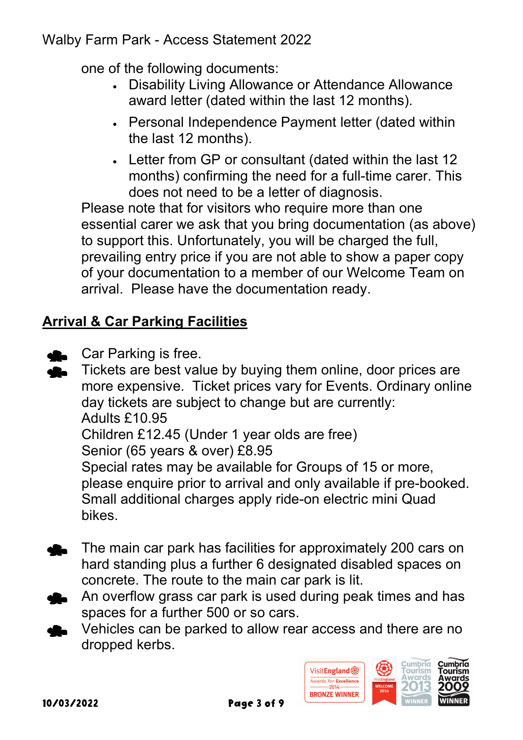one of the following documents:

- Disability Living Allowance or Attendance Allowance award letter (dated within the last 12 months).
- Personal Independence Payment letter (dated within the last 12 months).
- Letter from GP or consultant (dated within the last 12 months) confirming the need for a full-time carer. This does not need to be a letter of diagnosis.

Please note that for visitors who require more than one essential carer we ask that you bring documentation (as above) to support this. Unfortunately, you will be charged the full, prevailing entry price if you are not able to show a paper copy of your documentation to a member of our Welcome Team on arrival. Please have the documentation ready.

# Arrival & Car Parking Facilities

Car Parking is free.

Tickets are best value by buying them online, door prices are more expensive. Ticket prices vary for Events. Ordinary online day tickets are subject to change but are currently: Adults £10.95 Children £12.45 (Under 1 year olds are free) Senior (65 years & over) £8.95 Special rates may be available for Groups of 15 or more, please enquire prior to arrival and only available if pre-booked. Small additional charges apply ride-on electric mini Quad bikes.

- The main car park has facilities for approximately 200 cars on hard standing plus a further 6 designated disabled spaces on concrete. The route to the main car park is lit.
- An overflow grass car park is used during peak times and has spaces for a further 500 or so cars.
- Vehicles can be parked to allow rear access and there are no dropped kerbs.

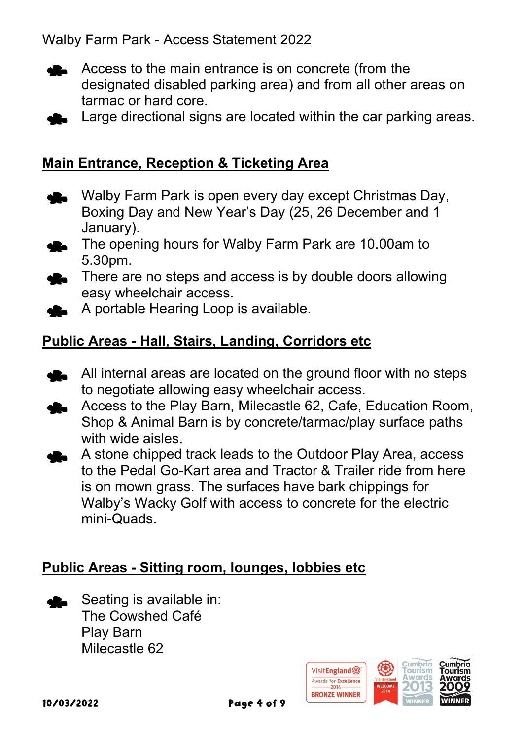

Access to the main entrance is on concrete (from the designated disabled parking area) and from all other areas on tarmac or hard core.

Large directional signs are located within the car parking areas.

#### Main Entrance, Reception & Ticketing Area

- Walby Farm Park is open every day except Christmas Day, Boxing Day and New Year's Day (25, 26 December and 1 January).
- The opening hours for Walby Farm Park are 10.00am to 5.30pm.
- There are no steps and access is by double doors allowing easy wheelchair access.
- A portable Hearing Loop is available.

#### Public Areas - Hall, Stairs, Landing, Corridors etc

- All internal areas are located on the ground floor with no steps to negotiate allowing easy wheelchair access.
- Access to the Play Barn, Milecastle 62, Cafe, Education Room, Shop & Animal Barn is by concrete/tarmac/play surface paths with wide aisles.
	- A stone chipped track leads to the Outdoor Play Area, access to the Pedal Go-Kart area and Tractor & Trailer ride from here is on mown grass. The surfaces have bark chippings for Walby's Wacky Golf with access to concrete for the electric mini-Quads.

#### Public Areas - Sitting room, lounges, lobbies etc

Seating is available in: The Cowshed Café Play Barn Milecastle 62

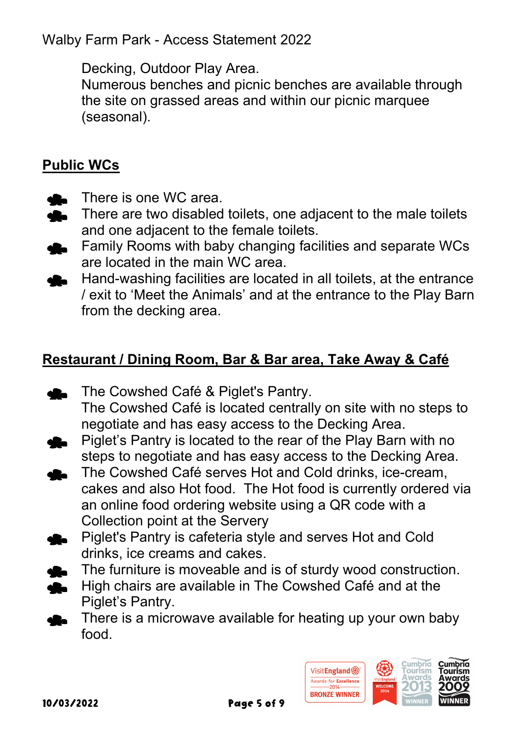Decking, Outdoor Play Area.

 Numerous benches and picnic benches are available through the site on grassed areas and within our picnic marquee (seasonal).

# Public WCs

- There is one WC area.
- There are two disabled toilets, one adjacent to the male toilets di. and one adjacent to the female toilets.
- Family Rooms with baby changing facilities and separate WCs are located in the main WC area.
- Hand-washing facilities are located in all toilets, at the entrance / exit to 'Meet the Animals' and at the entrance to the Play Barn from the decking area.

## Restaurant / Dining Room, Bar & Bar area, Take Away & Café

- The Cowshed Café & Piglet's Pantry. The Cowshed Café is located centrally on site with no steps to negotiate and has easy access to the Decking Area.
- Piglet's Pantry is located to the rear of the Play Barn with no steps to negotiate and has easy access to the Decking Area.
- The Cowshed Café serves Hot and Cold drinks, ice-cream, cakes and also Hot food. The Hot food is currently ordered via an online food ordering website using a QR code with a Collection point at the Servery
- Piglet's Pantry is cafeteria style and serves Hot and Cold drinks, ice creams and cakes.
- The furniture is moveable and is of sturdy wood construction.
- **High chairs are available in The Cowshed Café and at the** Piglet's Pantry.
- **There is a microwave available for heating up your own baby** food.

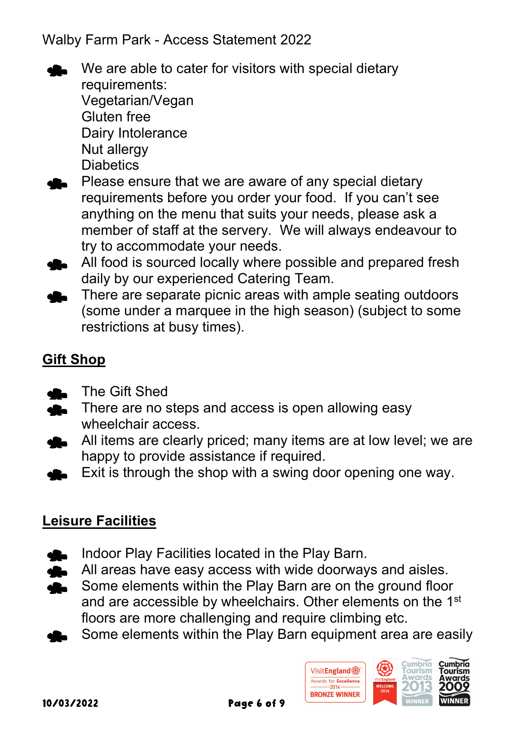

We are able to cater for visitors with special dietary requirements: Vegetarian/Vegan Gluten free Dairy Intolerance Nut allergy

- **Diabetics**
- Please ensure that we are aware of any special dietary requirements before you order your food. If you can't see anything on the menu that suits your needs, please ask a member of staff at the servery. We will always endeavour to try to accommodate your needs.
- All food is sourced locally where possible and prepared fresh daily by our experienced Catering Team.
- There are separate picnic areas with ample seating outdoors (some under a marquee in the high season) (subject to some restrictions at busy times).

# Gift Shop

- The Gift Shed
- There are no steps and access is open allowing easy wheelchair access.
- All items are clearly priced; many items are at low level; we are happy to provide assistance if required.
- Exit is through the shop with a swing door opening one way.

# Leisure Facilities

- Indoor Play Facilities located in the Play Barn.
- All areas have easy access with wide doorways and aisles.  $\mathbf{r}$
- Some elements within the Play Barn are on the ground floor  $\bullet$ and are accessible by wheelchairs. Other elements on the 1st floors are more challenging and require climbing etc.
- Some elements within the Play Barn equipment area are easily

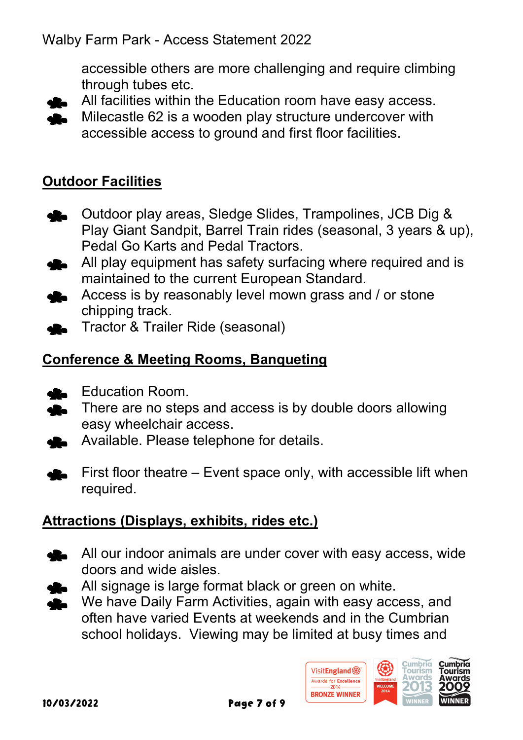accessible others are more challenging and require climbing through tubes etc.





#### Outdoor Facilities

- Outdoor play areas, Sledge Slides, Trampolines, JCB Dig & Play Giant Sandpit, Barrel Train rides (seasonal, 3 years & up), Pedal Go Karts and Pedal Tractors.
- All play equipment has safety surfacing where required and is maintained to the current European Standard.
- Access is by reasonably level mown grass and / or stone chipping track.
- Tractor & Trailer Ride (seasonal)

## Conference & Meeting Rooms, Banqueting

- Education Room.
- **There are no steps and access is by double doors allowing** easy wheelchair access.
- Available. Please telephone for details.
- First floor theatre Event space only, with accessible lift when required.

## Attractions (Displays, exhibits, rides etc.)

- **All our indoor animals are under cover with easy access, wide** doors and wide aisles.
- All signage is large format black or green on white.
- We have Daily Farm Activities, again with easy access, and often have varied Events at weekends and in the Cumbrian school holidays. Viewing may be limited at busy times and

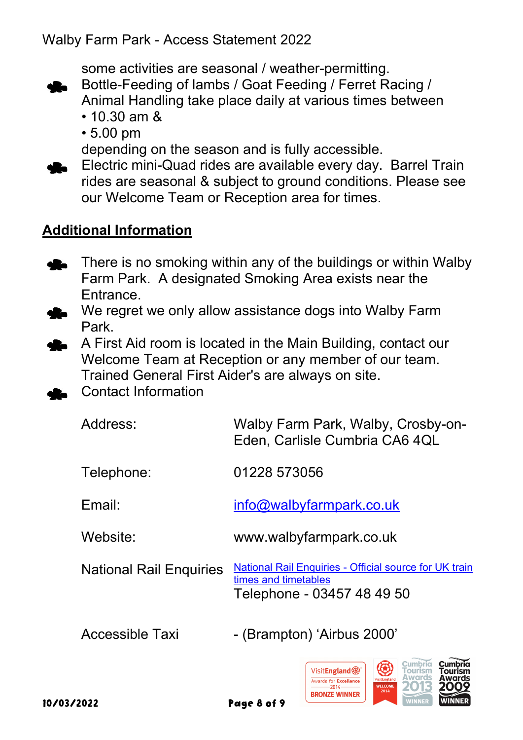some activities are seasonal / weather-permitting.



- 10.30 am &
- 5.00 pm

depending on the season and is fully accessible.

Electric mini-Quad rides are available every day. Barrel Train rides are seasonal & subject to ground conditions. Please see our Welcome Team or Reception area for times.

### Additional Information

- There is no smoking within any of the buildings or within Walby Farm Park. A designated Smoking Area exists near the Entrance.
- We regret we only allow assistance dogs into Walby Farm Park.
- A First Aid room is located in the Main Building, contact our Welcome Team at Reception or any member of our team. Trained General First Aider's are always on site.
- Contact Information

| Address:                       | Walby Farm Park, Walby, Crosby-on-<br>Eden, Carlisle Cumbria CA6 4QL                                         |
|--------------------------------|--------------------------------------------------------------------------------------------------------------|
| Telephone:                     | 01228 573056                                                                                                 |
| Email:                         | info@walbyfarmpark.co.uk                                                                                     |
| Website:                       | www.walbyfarmpark.co.uk                                                                                      |
| <b>National Rail Enquiries</b> | National Rail Enquiries - Official source for UK train<br>times and timetables<br>Telephone - 03457 48 49 50 |
| Accessible Taxi                | - (Brampton) 'Airbus 2000'                                                                                   |